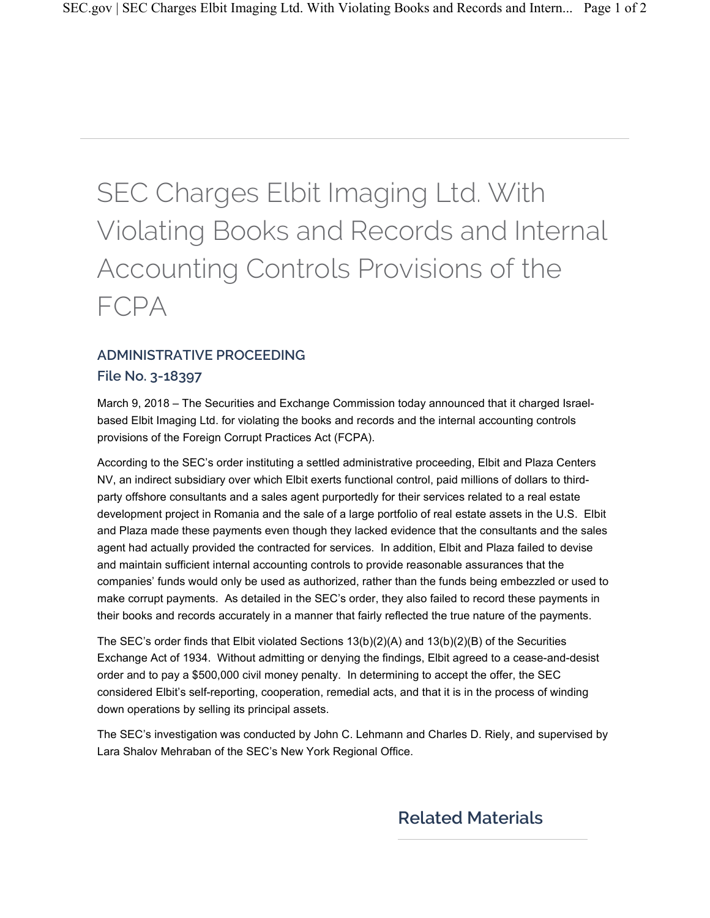## SEC Charges Elbit Imaging Ltd. With Violating Books and Records and Internal Accounting Controls Provisions of the FCPA

## **ADMINISTRATIVE PROCEEDING**

## **File No. 3-18397**

March 9, 2018 – The Securities and Exchange Commission today announced that it charged Israelbased Elbit Imaging Ltd. for violating the books and records and the internal accounting controls provisions of the Foreign Corrupt Practices Act (FCPA).

According to the SEC's order instituting a settled administrative proceeding, Elbit and Plaza Centers NV, an indirect subsidiary over which Elbit exerts functional control, paid millions of dollars to thirdparty offshore consultants and a sales agent purportedly for their services related to a real estate development project in Romania and the sale of a large portfolio of real estate assets in the U.S. Elbit and Plaza made these payments even though they lacked evidence that the consultants and the sales agent had actually provided the contracted for services. In addition, Elbit and Plaza failed to devise and maintain sufficient internal accounting controls to provide reasonable assurances that the companies' funds would only be used as authorized, rather than the funds being embezzled or used to make corrupt payments. As detailed in the SEC's order, they also failed to record these payments in their books and records accurately in a manner that fairly reflected the true nature of the payments.

The SEC's order finds that Elbit violated Sections 13(b)(2)(A) and 13(b)(2)(B) of the Securities Exchange Act of 1934. Without admitting or denying the findings, Elbit agreed to a cease-and-desist order and to pay a \$500,000 civil money penalty. In determining to accept the offer, the SEC considered Elbit's self-reporting, cooperation, remedial acts, and that it is in the process of winding down operations by selling its principal assets.

The SEC's investigation was conducted by John C. Lehmann and Charles D. Riely, and supervised by Lara Shalov Mehraban of the SEC's New York Regional Office.

## **Related Materials**